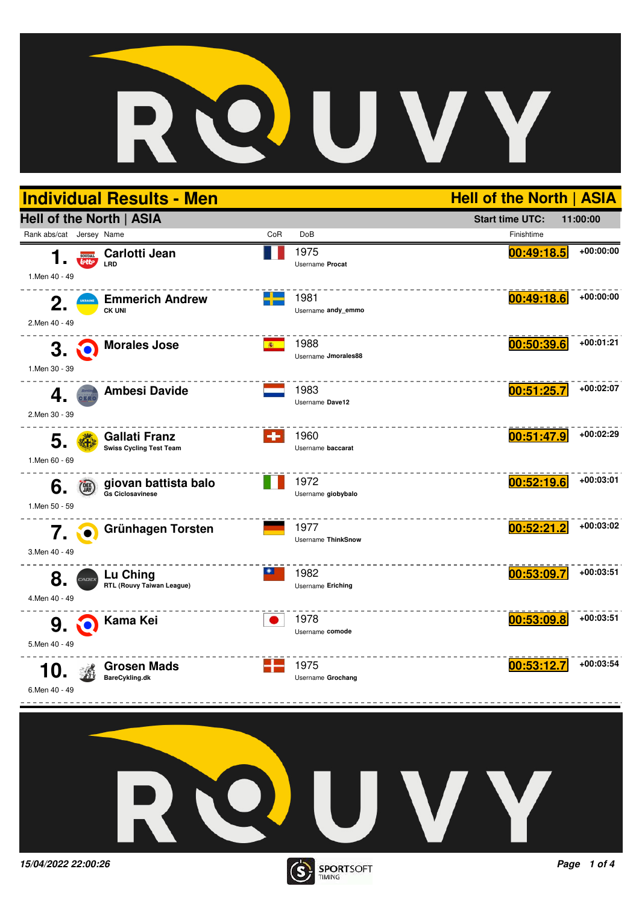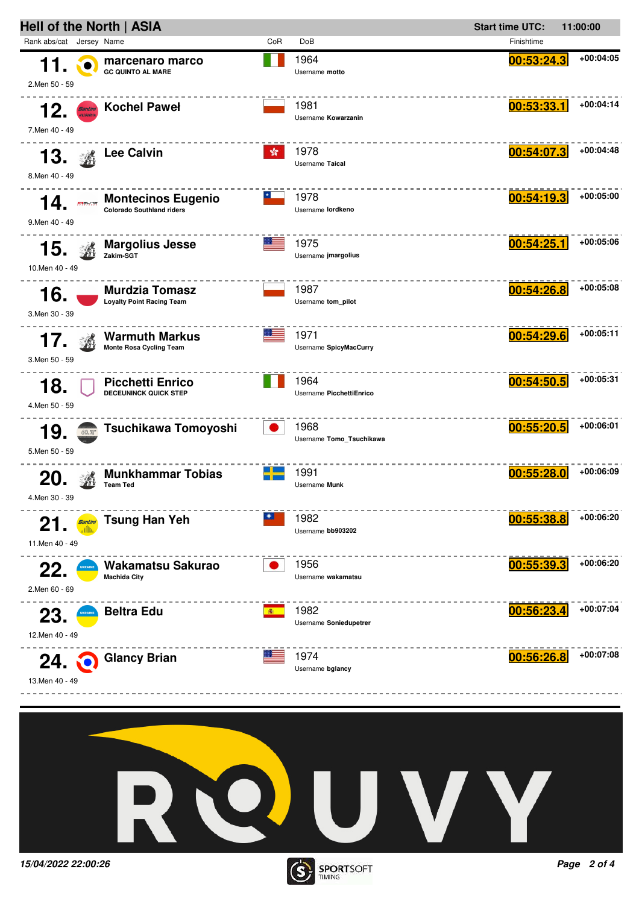



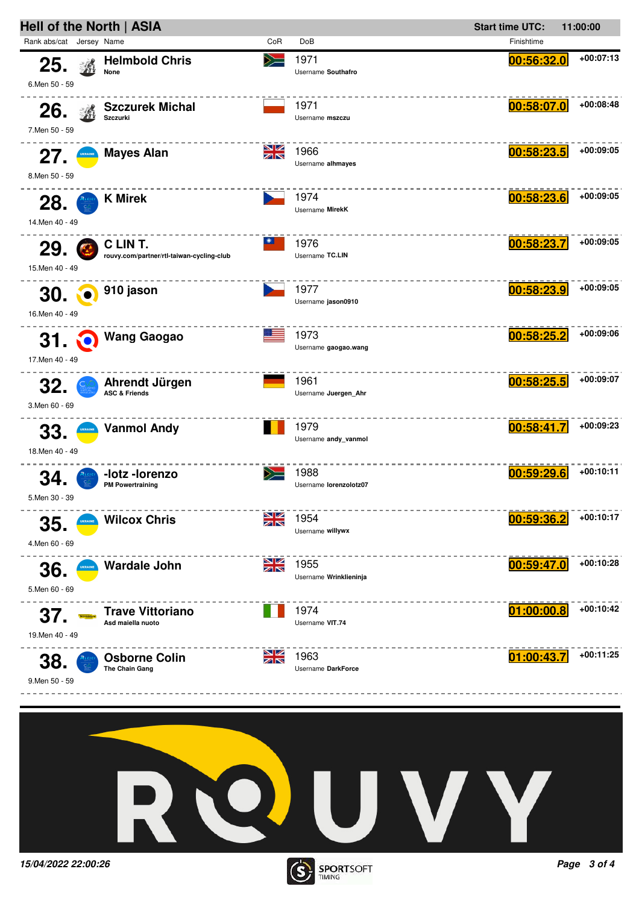



TIMING